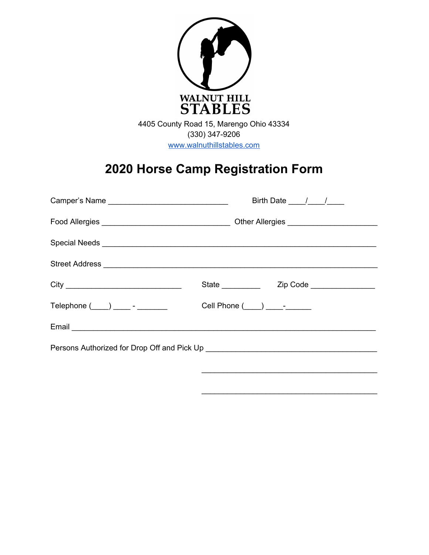

# **2020 Horse Camp Registration Form**

|  |  | Birth Date $\frac{1}{\sqrt{1-\frac{1}{2}}}$ |  |  |
|--|--|---------------------------------------------|--|--|
|  |  |                                             |  |  |
|  |  |                                             |  |  |
|  |  |                                             |  |  |
|  |  |                                             |  |  |
|  |  | Cell Phone $($ $)$ $-$                      |  |  |
|  |  |                                             |  |  |
|  |  |                                             |  |  |
|  |  |                                             |  |  |

\_\_\_\_\_\_\_\_\_\_\_\_\_\_\_\_\_\_\_\_\_\_\_\_\_\_\_\_\_\_\_\_\_\_\_\_\_\_\_\_\_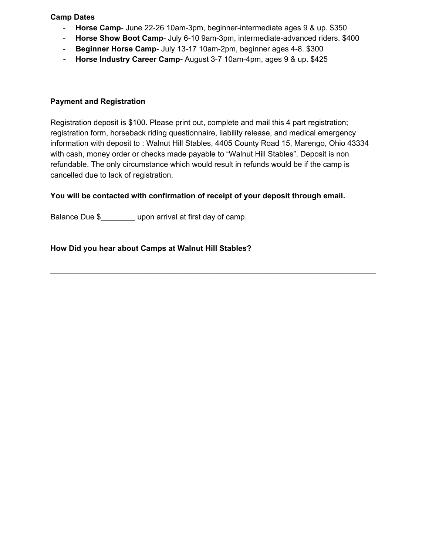#### **Camp Dates**

- **Horse Camp** June 22-26 10am-3pm, beginner-intermediate ages 9 & up. \$350
- **Horse Show Boot Camp** July 6-10 9am-3pm, intermediate-advanced riders. \$400
- **Beginner Horse Camp** July 13-17 10am-2pm, beginner ages 4-8. \$300
- **- Horse Industry Career Camp-** August 3-7 10am-4pm, ages 9 & up. \$425

### **Payment and Registration**

Registration deposit is \$100. Please print out, complete and mail this 4 part registration; registration form, horseback riding questionnaire, liability release, and medical emergency information with deposit to : Walnut Hill Stables, 4405 County Road 15, Marengo, Ohio 43334 with cash, money order or checks made payable to "Walnut Hill Stables". Deposit is non refundable. The only circumstance which would result in refunds would be if the camp is cancelled due to lack of registration.

\_\_\_\_\_\_\_\_\_\_\_\_\_\_\_\_\_\_\_\_\_\_\_\_\_\_\_\_\_\_\_\_\_\_\_\_\_\_\_\_\_\_\_\_\_\_\_\_\_\_\_\_\_\_\_\_\_\_\_\_\_\_\_\_\_\_\_\_\_\_\_\_\_\_\_\_

## **You will be contacted with confirmation of receipt of your deposit through email.**

Balance Due \$\_\_\_\_\_\_\_\_\_ upon arrival at first day of camp.

## **How Did you hear about Camps at Walnut Hill Stables?**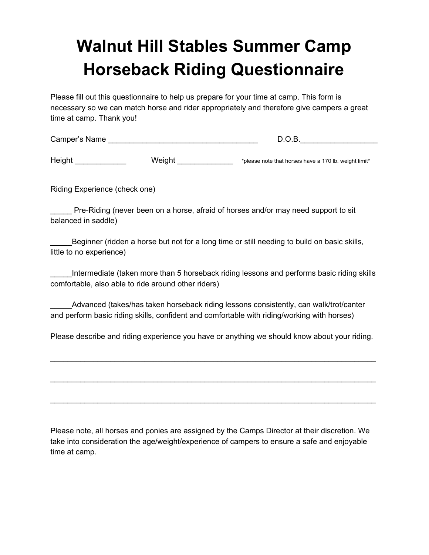# **Walnut Hill Stables Summer Camp Horseback Riding Questionnaire**

Please fill out this questionnaire to help us prepare for your time at camp. This form is necessary so we can match horse and rider appropriately and therefore give campers a great time at camp. Thank you!

| Camper's Name |  |
|---------------|--|
|               |  |

Height Neight Weight Weight Metal and Mexican Metal of the Mexican of that horses have a 170 lb. weight limit\*

Riding Experience (check one)

\_\_\_\_\_ Pre-Riding (never been on a horse, afraid of horses and/or may need support to sit balanced in saddle)

Beginner (ridden a horse but not for a long time or still needing to build on basic skills, little to no experience)

\_\_\_\_\_Intermediate (taken more than 5 horseback riding lessons and performs basic riding skills comfortable, also able to ride around other riders)

\_\_\_\_\_Advanced (takes/has taken horseback riding lessons consistently, can walk/trot/canter and perform basic riding skills, confident and comfortable with riding/working with horses)

Please describe and riding experience you have or anything we should know about your riding.

\_\_\_\_\_\_\_\_\_\_\_\_\_\_\_\_\_\_\_\_\_\_\_\_\_\_\_\_\_\_\_\_\_\_\_\_\_\_\_\_\_\_\_\_\_\_\_\_\_\_\_\_\_\_\_\_\_\_\_\_\_\_\_\_\_\_\_\_\_\_\_\_\_\_\_\_

\_\_\_\_\_\_\_\_\_\_\_\_\_\_\_\_\_\_\_\_\_\_\_\_\_\_\_\_\_\_\_\_\_\_\_\_\_\_\_\_\_\_\_\_\_\_\_\_\_\_\_\_\_\_\_\_\_\_\_\_\_\_\_\_\_\_\_\_\_\_\_\_\_\_\_\_

\_\_\_\_\_\_\_\_\_\_\_\_\_\_\_\_\_\_\_\_\_\_\_\_\_\_\_\_\_\_\_\_\_\_\_\_\_\_\_\_\_\_\_\_\_\_\_\_\_\_\_\_\_\_\_\_\_\_\_\_\_\_\_\_\_\_\_\_\_\_\_\_\_\_\_\_

Please note, all horses and ponies are assigned by the Camps Director at their discretion. We take into consideration the age/weight/experience of campers to ensure a safe and enjoyable time at camp.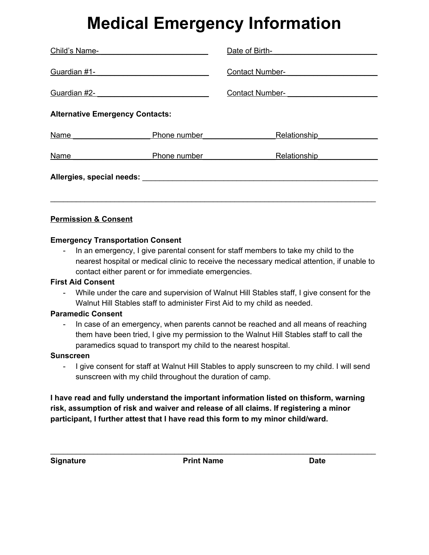# **Medical Emergency Information**

| Child's Name-                                                                                                                                                                                                                 |              | Date of Birth-                         |  |  |
|-------------------------------------------------------------------------------------------------------------------------------------------------------------------------------------------------------------------------------|--------------|----------------------------------------|--|--|
| Guardian #1-                                                                                                                                                                                                                  |              | <b>Contact Number- Contact Number-</b> |  |  |
| Guardian #2-                                                                                                                                                                                                                  |              | <b>Contact Number-</b>                 |  |  |
| <b>Alternative Emergency Contacts:</b>                                                                                                                                                                                        |              |                                        |  |  |
| <b>Name</b>                                                                                                                                                                                                                   | Phone number | Relationship                           |  |  |
| <b>Name</b>                                                                                                                                                                                                                   | Phone number | Relationship                           |  |  |
| Allergies, special needs: Network and the set of the set of the set of the set of the set of the set of the set of the set of the set of the set of the set of the set of the set of the set of the set of the set of the set |              |                                        |  |  |
|                                                                                                                                                                                                                               |              |                                        |  |  |

# **Permission & Consent**

# **Emergency Transportation Consent**

- In an emergency, I give parental consent for staff members to take my child to the nearest hospital or medical clinic to receive the necessary medical attention, if unable to contact either parent or for immediate emergencies.

### **First Aid Consent**

- While under the care and supervision of Walnut Hill Stables staff, I give consent for the Walnut Hill Stables staff to administer First Aid to my child as needed.

# **Paramedic Consent**

- In case of an emergency, when parents cannot be reached and all means of reaching them have been tried, I give my permission to the Walnut Hill Stables staff to call the paramedics squad to transport my child to the nearest hospital.

### **Sunscreen**

- I give consent for staff at Walnut Hill Stables to apply sunscreen to my child. I will send sunscreen with my child throughout the duration of camp.

**I have read and fully understand the important information listed on thisform, warning risk, assumption of risk and waiver and release of all claims. If registering a minor participant, I further attest that I have read this form to my minor child/ward.**

**Signature Print Name Date**

\_\_\_\_\_\_\_\_\_\_\_\_\_\_\_\_\_\_\_\_\_\_\_\_\_\_\_\_\_\_\_\_\_\_\_\_\_\_\_\_\_\_\_\_\_\_\_\_\_\_\_\_\_\_\_\_\_\_\_\_\_\_\_\_\_\_\_\_\_\_\_\_\_\_\_\_